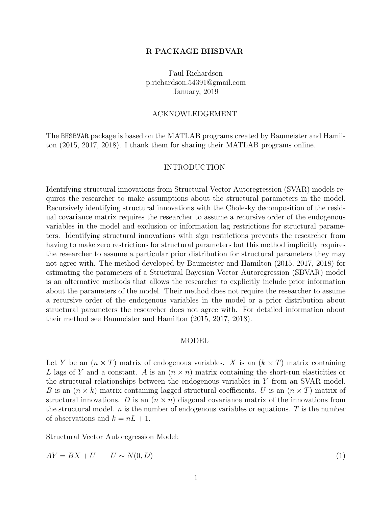#### R PACKAGE BHSBVAR

Paul Richardson p.richardson.54391@gmail.com January, 2019

### ACKNOWLEDGEMENT

The BHSBVAR package is based on the MATLAB programs created by [Baumeister and Hamil](#page-13-0)[ton \(2015,](#page-13-0) [2017,](#page-13-1) [2018\).](#page-13-2) I thank them for sharing their MATLAB programs online.

#### INTRODUCTION

Identifying structural innovations from Structural Vector Autoregression (SVAR) models requires the researcher to make assumptions about the structural parameters in the model. Recursively identifying structural innovations with the Cholesky decomposition of the residual covariance matrix requires the researcher to assume a recursive order of the endogenous variables in the model and exclusion or information lag restrictions for structural parameters. Identifying structural innovations with sign restrictions prevents the researcher from having to make zero restrictions for structural parameters but this method implicitly requires the researcher to assume a particular prior distribution for structural parameters they may not agree with. The method developed by [Baumeister and Hamilton \(2015,](#page-13-0) [2017,](#page-13-1) [2018\)](#page-13-2) for estimating the parameters of a Structural Bayesian Vector Autoregression (SBVAR) model is an alternative methods that allows the researcher to explicitly include prior information about the parameters of the model. Their method does not require the researcher to assume a recursive order of the endogenous variables in the model or a prior distribution about structural parameters the researcher does not agree with. For detailed information about their method see [Baumeister and Hamilton \(2015,](#page-13-0) [2017,](#page-13-1) [2018\).](#page-13-2)

#### MODEL

Let Y be an  $(n \times T)$  matrix of endogenous variables. X is an  $(k \times T)$  matrix containing L lags of Y and a constant. A is an  $(n \times n)$  matrix containing the short-run elasticities or the structural relationships between the endogenous variables in Y from an SVAR model. B is an  $(n \times k)$  matrix containing lagged structural coefficients. U is an  $(n \times T)$  matrix of structural innovations. D is an  $(n \times n)$  diagonal covariance matrix of the innovations from the structural model.  $n$  is the number of endogenous variables or equations.  $T$  is the number of observations and  $k = nL + 1$ .

Structural Vector Autoregression Model:

$$
AY = BX + U \qquad U \sim N(0, D) \tag{1}
$$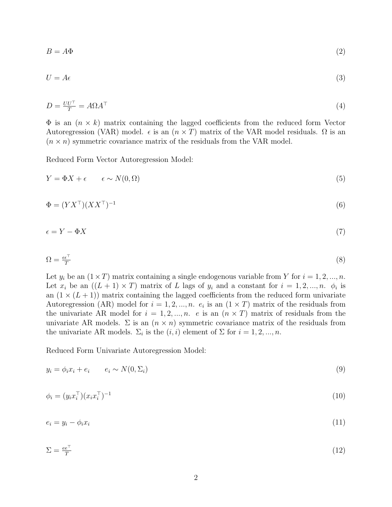$$
B = A\Phi \tag{2}
$$

$$
U = A\epsilon \tag{3}
$$

$$
D = \frac{UU^{\top}}{T} = A\Omega A^{\top} \tag{4}
$$

 $\Phi$  is an  $(n \times k)$  matrix containing the lagged coefficients from the reduced form Vector Autoregression (VAR) model.  $\epsilon$  is an  $(n \times T)$  matrix of the VAR model residuals.  $\Omega$  is an  $(n \times n)$  symmetric covariance matrix of the residuals from the VAR model.

Reduced Form Vector Autoregression Model:

$$
Y = \Phi X + \epsilon \qquad \epsilon \sim N(0, \Omega) \tag{5}
$$

$$
\Phi = (YX^{\top})(XX^{\top})^{-1} \tag{6}
$$

$$
\epsilon = Y - \Phi X \tag{7}
$$

$$
\Omega = \frac{\epsilon \epsilon^{\top}}{T} \tag{8}
$$

Let  $y_i$  be an  $(1 \times T)$  matrix containing a single endogenous variable from Y for  $i = 1, 2, ..., n$ . Let  $x_i$  be an  $((L + 1) \times T)$  matrix of L lags of  $y_i$  and a constant for  $i = 1, 2, ..., n$ .  $\phi_i$  is an  $(1 \times (L+1))$  matrix containing the lagged coefficients from the reduced form univariate Autoregression (AR) model for  $i = 1, 2, ..., n$ .  $e_i$  is an  $(1 \times T)$  matrix of the residuals from the univariate AR model for  $i = 1, 2, ..., n$ . e is an  $(n \times T)$  matrix of residuals from the univariate AR models.  $\Sigma$  is an  $(n \times n)$  symmetric covariance matrix of the residuals from the univariate AR models.  $\Sigma_i$  is the  $(i, i)$  element of  $\Sigma$  for  $i = 1, 2, ..., n$ .

Reduced Form Univariate Autoregression Model:

$$
y_i = \phi_i x_i + e_i \qquad e_i \sim N(0, \Sigma_i) \tag{9}
$$

$$
\phi_i = (y_i x_i^\top)(x_i x_i^\top)^{-1} \tag{10}
$$

$$
e_i = y_i - \phi_i x_i \tag{11}
$$

$$
\Sigma = \frac{ee^{\top}}{T} \tag{12}
$$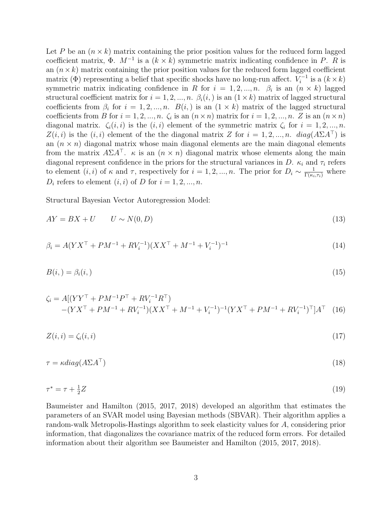Let P be an  $(n \times k)$  matrix containing the prior position values for the reduced form lagged coefficient matrix,  $\Phi$ .  $M^{-1}$  is a  $(k \times k)$  symmetric matrix indicating confidence in P. R is an  $(n \times k)$  matrix containing the prior position values for the reduced form lagged coefficient matrix ( $\Phi$ ) representing a belief that specific shocks have no long-run affect.  $V_i^{-1}$  $i^{-1}$  is a  $(k \times k)$ symmetric matrix indicating confidence in R for  $i = 1, 2, ..., n$ .  $\beta_i$  is an  $(n \times k)$  lagged structural coefficient matrix for  $i = 1, 2, ..., n$ .  $\beta_i(i)$  is an  $(1 \times k)$  matrix of lagged structural coefficients from  $\beta_i$  for  $i = 1, 2, ..., n$ .  $B(i)$  is an  $(1 \times k)$  matrix of the lagged structural coefficients from B for  $i = 1, 2, ..., n$ .  $\zeta_i$  is an  $(n \times n)$  matrix for  $i = 1, 2, ..., n$ . Z is an  $(n \times n)$ diagonal matrix.  $\zeta_i(i,i)$  is the  $(i,i)$  element of the symmetric matrix  $\zeta_i$  for  $i = 1, 2, ..., n$ .  $Z(i, i)$  is the  $(i, i)$  element of the the diagonal matrix Z for  $i = 1, 2, ..., n$ .  $diag(A\Sigma A^{\dagger})$  is an  $(n \times n)$  diagonal matrix whose main diagonal elements are the main diagonal elements from the matrix  $A\Sigma A^{\top}$ .  $\kappa$  is an  $(n \times n)$  diagonal matrix whose elements along the main diagonal represent confidence in the priors for the structural variances in D.  $\kappa_i$  and  $\tau_i$  refers to element  $(i, i)$  of  $\kappa$  and  $\tau$ , respectively for  $i = 1, 2, ..., n$ . The prior for  $D_i \sim \frac{1}{\Gamma(\kappa_i, \tau_i)}$  where  $D_i$  refers to element  $(i, i)$  of D for  $i = 1, 2, ..., n$ .

Structural Bayesian Vector Autoregression Model:

<span id="page-2-2"></span>
$$
AY = BX + U \qquad U \sim N(0, D) \tag{13}
$$

<span id="page-2-0"></span>
$$
\beta_i = A(YX^{\top} + PM^{-1} + RV_i^{-1})(XX^{\top} + M^{-1} + V_i^{-1})^{-1}
$$
\n(14)

$$
B(i,)=\beta_i(i,)\tag{15}
$$

$$
\zeta_i = A[(YY^{\top} + PM^{-1}P^{\top} + RV_i^{-1}R^{\top})
$$
  
-(YY^{\top} + PM^{-1} + RV\_i^{-1})(XX^{\top} + M^{-1} + V\_i^{-1})^{-1}(YX^{\top} + PM^{-1} + RV\_i^{-1})^{\top}]A^{\top} (16)

$$
Z(i,i) = \zeta_i(i,i) \tag{17}
$$

<span id="page-2-1"></span>
$$
\tau = \kappa \operatorname{diag}(A \Sigma A^{\top}) \tag{18}
$$

$$
\tau^* = \tau + \frac{1}{2}Z\tag{19}
$$

[Baumeister and Hamilton \(2015,](#page-13-0) [2017,](#page-13-1) [2018\)](#page-13-2) developed an algorithm that estimates the parameters of an SVAR model using Bayesian methods (SBVAR). Their algorithm applies a random-walk Metropolis-Hastings algorithm to seek elasticity values for A, considering prior information, that diagonalizes the covariance matrix of the reduced form errors. For detailed information about their algorithm see [Baumeister and Hamilton \(2015,](#page-13-0) [2017,](#page-13-1) [2018\).](#page-13-2)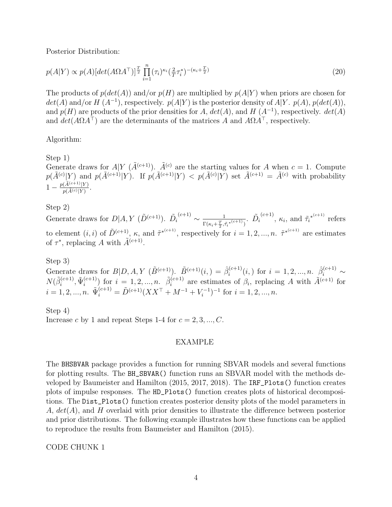Posterior Distribution:

$$
p(A|Y) \propto p(A)[\det(A\Omega A^\top)]^{\frac{T}{2}} \prod_{i=1}^n (\tau_i)^{\kappa_i} (\frac{2}{T} \tau_i^*)^{-(\kappa_i + \frac{T}{2})}
$$
\n
$$
(20)
$$

The products of  $p(det(A))$  and/or  $p(H)$  are multiplied by  $p(A|Y)$  when priors are chosen for  $det(A)$  and/or  $H(A^{-1})$ , respectively.  $p(A|Y)$  is the posterior density of  $A|Y$ .  $p(A)$ ,  $p(det(A))$ , and  $p(H)$  are products of the prior densities for A,  $det(A)$ , and H  $(A^{-1})$ , respectively.  $det(A)$ and  $det(A\Omega A^{\top})$  are the determinants of the matrices A and  $A\Omega A^{\top}$ , respectively.

Algorithm:

Step 1)

Generate draws for  $A|Y(\tilde{A}^{(c+1)})$ .  $\tilde{A}^{(c)}$  are the starting values for A when  $c = 1$ . Compute  $p(\tilde{A}^{(c)}|Y)$  and  $p(\tilde{A}^{(c+1)}|Y)$ . If  $p(\tilde{A}^{(c+1)}|Y) < p(\tilde{A}^{(c)}|Y)$  set  $\tilde{A}^{(c+1)} = \tilde{A}^{(c)}$  with probability  $1 - \frac{p(\tilde{A}^{(c+1)}|Y)}{p(\tilde{A}^{(c)}|Y)}$  $\frac{(A^{(c+1)}|Y)}{p(\tilde{A}^{(c)}|Y)}$ .

# Step 2)

Generate draws for  $D|A, Y(\tilde{D}^{(c+1)})$ .  $\tilde{D}_i$  $\frac{(c+1)}{2} \sim \frac{1}{\sqrt{1-\frac{c}{c}}}$  $\frac{1}{\Gamma(\kappa_{i}+\frac{T}{2},\tilde{\tau_{i}}^{*}}(\kappa+1)}$ .  $\tilde{D}_{i}$ to element  $(i, i)$  of  $\tilde{D}^{(c+1)}$ ,  $\kappa$ , and  $\tilde{\tau}^{*(c+1)}$ , respectively for  $i = 1, 2, ..., n$ .  $\tilde{\tau}^{*(c+1)}$  are estimates <sup>(c+1)</sup>,  $\kappa_i$ , and  $\tilde{\tau_i}^{*(c+1)}$  refers of  $\tau^*$ , replacing A with  $\tilde{A}^{(c+1)}$ .

# Step 3)

Generate draws for  $B|D, A, Y \, (\tilde{B}^{(c+1)})$ .  $\tilde{B}^{(c+1)}(i, ) = \hat{\beta}_i^{(c+1)}$  $\hat{\beta}_i^{(c+1)}(i,)$  for  $i = 1, 2, ..., n$ .  $\hat{\beta}_i^{(c+1)} \sim$  $N(\tilde{\beta}_i^{(c+1)}$  $\tilde{\Psi}_i^{(c+1)}, \tilde{\Psi}_i^{(c+1)}$  $\binom{(c+1)}{i}$  for  $i = 1, 2, ..., n$ .  $\tilde{\beta}_i^{(c+1)}$  $i^{(c+1)}$  are estimates of  $\beta_i$ , replacing A with  $\tilde{A}^{(c+1)}$  for  $i = 1, 2, ..., n$ .  $\tilde{\Psi}_i^{(c+1)} = \tilde{D}^{(c+1)}(XX^\top + M^{-1} + V_i^{-1})$  $(i^{-1})^{-1}$  for  $i = 1, 2, ..., n$ .

Step 4) Increase c by 1 and repeat Steps 1-4 for  $c = 2, 3, ..., C$ .

# EXAMPLE

<span id="page-3-0"></span>The BHSBVAR package provides a function for running SBVAR models and several functions for plotting results. The BH\_SBVAR() function runs an SBVAR model with the methods developed by [Baumeister and Hamilton \(2015,](#page-13-0) [2017,](#page-13-1) [2018\).](#page-13-2) The IRF\_Plots() function creates plots of impulse responses. The HD\_Plots() function creates plots of historical decompositions. The Dist\_Plots() function creates posterior density plots of the model parameters in A,  $det(A)$ , and H overlaid with prior densities to illustrate the difference between posterior and prior distributions. The following example illustrates how these functions can be applied to reproduce the results from [Baumeister and Hamilton \(2015\).](#page-13-0)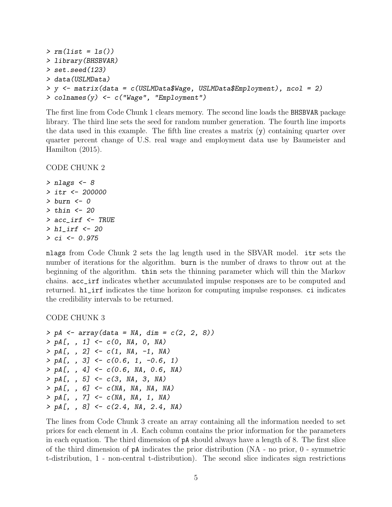```
> rm(list = ls())> library(BHSBVAR)
> set.seed(123)
> data(USLMData)
> y <- matrix(data = c(USLMData$Wage, USLMData$Employment), ncol = 2)
> colnames(y) <- c("Wage", "Employment")
```
The first line from [Code Chunk 1](#page-3-0) clears memory. The second line loads the BHSBVAR package library. The third line sets the seed for random number generation. The fourth line imports the data used in this example. The fifth line creates a matrix  $(y)$  containing quarter over quarter percent change of U.S. real wage and employment data use by [Baumeister and](#page-13-0) [Hamilton \(2015\).](#page-13-0)

#### <span id="page-4-0"></span>CODE CHUNK 2

 $>$  nlags  $<-8$ > itr <- 200000 > burn <- 0  $>$  thin  $<-$  20 > acc\_irf <- TRUE > h1\_irf <- 20 > ci <- 0.975

nlags from [Code Chunk 2](#page-4-0) sets the lag length used in the SBVAR model. itr sets the number of iterations for the algorithm. burn is the number of draws to throw out at the beginning of the algorithm. thin sets the thinning parameter which will thin the Markov chains. acc\_irf indicates whether accumulated impulse responses are to be computed and returned. h1\_irf indicates the time horizon for computing impulse responses. ci indicates the credibility intervals to be returned.

<span id="page-4-1"></span>CODE CHUNK 3

```
> pA \leq \text{array}(data = NA, dim = c(2, 2, 8))> pA[, , 1] <- c(0, NA, 0, NA)
> pA[, , 2] <- c(1, NA, -1, NA)
> pA[, , 3] <- c(0.6, 1, -0.6, 1)
> pA[, , 4] <- c(0.6, NA, 0.6, NA)
> pA[, , 5] <- c(3, NA, 3, NA)
> pA[, , 6] <- c(NA, NA, NA, NA)
> pA[, , 7] <- c(NA, NA, 1, NA)
> pA[, , 8] <- c(2.4, NA, 2.4, NA)
```
The lines from [Code Chunk 3](#page-4-1) create an array containing all the information needed to set priors for each element in A. Each column contains the prior information for the parameters in each equation. The third dimension of pA should always have a length of 8. The first slice of the third dimension of pA indicates the prior distribution (NA - no prior, 0 - symmetric t-distribution, 1 - non-central t-distribution). The second slice indicates sign restrictions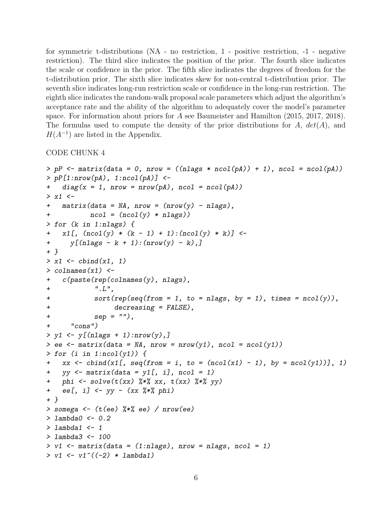for symmetric t-distributions (NA - no restriction, 1 - positive restriction, -1 - negative restriction). The third slice indicates the position of the prior. The fourth slice indicates the scale or confidence in the prior. The fifth slice indicates the degrees of freedom for the t-distribution prior. The sixth slice indicates skew for non-central t-distribution prior. The seventh slice indicates long-run restriction scale or confidence in the long-run restriction. The eighth slice indicates the random-walk proposal scale parameters which adjust the algorithm's acceptance rate and the ability of the algorithm to adequately cover the model's parameter space. For information about priors for A see [Baumeister and Hamilton \(2015,](#page-13-0) [2017,](#page-13-1) [2018\).](#page-13-2) The formulas used to compute the density of the prior distributions for  $A$ ,  $det(A)$ , and  $H(A^{-1})$  are listed in the [Appendix.](#page-12-0)

```
> pP \leq matrix(data = 0, nrow = ((nlags * ncol(pA)) + 1), ncol = ncol(pA))> pP[1: nrow(pA), 1: ncol(pA)] <-
+ diag(x = 1, nrow = nrow(pA), ncol = ncol(pA))> x1 <-
+ matrix(data = NA, nrow = (nrow(y) - nlags),
+ ncol = (ncol(y) * nlags))> for (k in 1:nlags) {
+ x1[, (ncol(y) * (k - 1) + 1):(ncol(y) * k)] <-
+ y[(n \text{lags} - k + 1):(n \text{row}(y) - k),]+ }
> x1 \leftarrow \text{cbind}(x1, 1)> colnames(x1) \leftarrow+ c(paste(rep(colnames(y), nlags),
+ ". L",
+ sort(rep(seq(from = 1, to = nlags, by = 1), times = ncol(y)),+ decreasing = FALSE),
+ sep = ""),
+ "cons")
> y1 \le y[(nlags + 1):nrow(y),]
> ee \leq matrix(data = NA, nrow = nrow(y1), ncol = ncol(y1))
> for (i in 1:ncol(y1)) {
+ xx \leftarrow \text{cbind}(x1[, \text{ seq}(\text{from} = i, \text{to} = (\text{ncol}(x1) - 1), \text{ by} = \text{ncol}(y1))], 1)+ yy \leftarrow matrix(data = y1[, i], ncol = 1)+ phi <- solve(t(xx) %*% xx, t(xx) %*% yy)
+ ee[, i] <- yy - (xx %*% phi)
+ }
> somega <- (t(ee) %*% ee) / nrow(ee)
> lambda0 <- 0.2> lambda1 <-1> lambda3 <- 100
> v1 \leq matrix(data = (1:nlags), nrow = nlags, ncol = 1)
> v1 \leftarrow v1^(-2) * lambda1)
```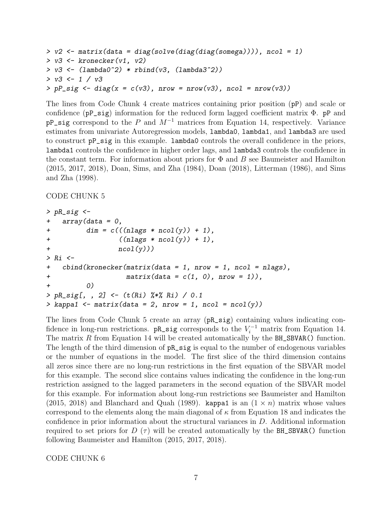```
> v2 \le matrix(data = diag(solve(diag(diag(somega)))), ncol = 1)
> v3 \leq kronecker(v1, v2)
> v3 \leftarrow (lambda0^2) * rbind(v3, (lambda3^2))> v3 <- 1 / v3
> pP\_sig \leftarrow diag(x = c(v3), nrow = nrow(v3), ncol = nrow(v3))
```
The lines from [Code Chunk 4](#page-5-0) create matrices containing prior position (pP) and scale or confidence ( $pP$ \_sig) information for the reduced form lagged coefficient matrix  $\Phi$ .  $pP$  and  $pP$ \_sig correspond to the P and  $M^{-1}$  matrices from Equation [14,](#page-2-0) respectively. Variance estimates from univariate Autoregression models, lambda0, lambda1, and lambda3 are used to construct pP\_sig in this example. lambda0 controls the overall confidence in the priors, lambda1 controls the confidence in higher order lags, and lambda3 controls the confidence in the constant term. For information about priors for  $\Phi$  and  $B$  see [Baumeister and Hamilton](#page-13-0) [\(2015,](#page-13-0) [2017,](#page-13-1) [2018\),](#page-13-2) [Doan, Sims, and Zha \(1984\),](#page-13-3) [Doan \(2018\),](#page-13-4) [Litterman \(1986\),](#page-13-5) and [Sims](#page-13-6) [and Zha \(1998\).](#page-13-6)

### <span id="page-6-0"></span>CODE CHUNK 5

```
> pR_sig \leftarrow+ array(data = 0,+ \dim = c(((n \text{lags} * n \text{col}(y)) + 1),+ ((n \text{lags } * \text{ ncol}(y)) + 1),+ ncol(y))> Ri <-+ cbind(kronecker(matrix(data = 1, nrow = 1, ncol = nlags),
+ matrix(data = c(1, 0), nrow = 1)),+ 0)
> pR_sig[, , 2] <- (t(Ri) %*% Ri) / 0.1
> kappa1 <- matrix(data = 2, nrow = 1, ncol = ncol(y))
```
<span id="page-6-1"></span>The lines from [Code Chunk 5](#page-6-0) create an array (pR\_sig) containing values indicating confidence in long-run restrictions.  $pR\_sig$  corresponds to the  $V_i^{-1}$  matrix from Equation [14.](#page-2-0) The matrix R from Equation [14](#page-2-0) will be created automatically by the  $BH\_SBVAR()$  function. The length of the third dimension of  $pR\_sig$  is equal to the number of endogenous variables or the number of equations in the model. The first slice of the third dimension contains all zeros since there are no long-run restrictions in the first equation of the SBVAR model for this example. The second slice contains values indicating the confidence in the long-run restriction assigned to the lagged parameters in the second equation of the SBVAR model for this example. For information about long-run restrictions see [Baumeister and Hamilton](#page-13-0) [\(2015,](#page-13-0) [2018\)](#page-13-2) and [Blanchard and Quah \(1989\).](#page-13-7) kappa1 is an  $(1 \times n)$  matrix whose values correspond to the elements along the main diagonal of  $\kappa$  from Equation [18](#page-2-1) and indicates the confidence in prior information about the structural variances in D. Additional information required to set priors for D  $(\tau)$  will be created automatically by the BH\_SBVAR() function following [Baumeister and Hamilton \(2015,](#page-13-0) [2017,](#page-13-1) [2018\).](#page-13-2)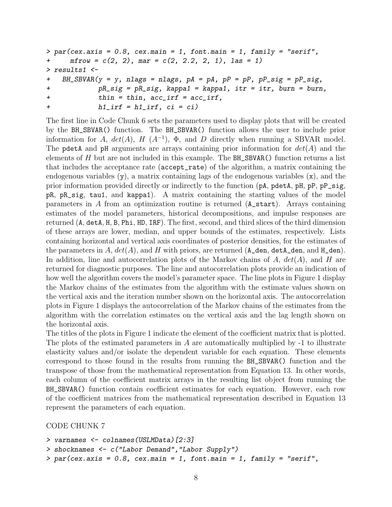```
> par(cex. axis = 0.8, cex. main = 1, font. main = 1, family = "serif",+ \text{mfrow} = c(2, 2), \text{mar} = c(2, 2.2, 2, 1), \text{las} = 1)> results1 <-
+ BH_SBVAR(y = y, nlags = nlags, pA = pA, pP = pP, pP_sig = pP_sig,
+ pR_sig = pR_sig, kappa1 = kappa1, itr = itr, burn = burn,
+ thin = thin, acc_irf = acc_irf,
+ h1_irf = h1_irf, ci = ci)
```
The first line in [Code Chunk 6](#page-6-1) sets the parameters used to display plots that will be created by the BH\_SBVAR() function. The BH\_SBVAR() function allows the user to include prior information for A,  $det(A)$ , H  $(A^{-1})$ ,  $\Phi$ , and D directly when running a SBVAR model. The pdetA and pH arguments are arrays containing prior information for  $det(A)$  and the elements of  $H$  but are not included in this example. The  $BH$ \_SBVAR() function returns a list that includes the acceptance rate (accept\_rate) of the algorithm, a matrix containing the endogenous variables  $(y)$ , a matrix containing lags of the endogenous variables  $(x)$ , and the prior information provided directly or indirectly to the function (pA, pdetA, pH, pP, pP\_sig, pR, pR\_sig, tau1, and kappa1). A matrix containing the starting values of the model parameters in A from an optimization routine is returned (A\_start). Arrays containing estimates of the model parameters, historical decompositions, and impulse responses are returned (A, detA, H, B, Phi, HD, IRF). The first, second, and third slices of the third dimension of these arrays are lower, median, and upper bounds of the estimates, respectively. Lists containing horizontal and vertical axis coordinates of posterior densities, for the estimates of the parameters in A,  $det(A)$ , and H with priors, are returned  $(A_den, detA_den, and H_den)$ . In addition, line and autocorrelation plots of the Markov chains of  $A$ ,  $det(A)$ , and  $H$  are returned for diagnostic purposes. The line and autocorrelation plots provide an indication of how well the algorithm covers the model's parameter space. The line plots in Figure [1](#page-8-0) display the Markov chains of the estimates from the algorithm with the estimate values shown on the vertical axis and the iteration number shown on the horizontal axis. The autocorrelation plots in Figure [1](#page-8-0) displays the autocorrelation of the Markov chains of the estimates from the algorithm with the correlation estimates on the vertical axis and the lag length shown on the horizontal axis.

The titles of the plots in Figure [1](#page-8-0) indicate the element of the coefficient matrix that is plotted. The plots of the estimated parameters in A are automatically multiplied by -1 to illustrate elasticity values and/or isolate the dependent variable for each equation. These elements correspond to those found in the results from running the BH\_SBVAR() function and the transpose of those from the mathematical representation from Equation [13.](#page-2-2) In other words, each column of the coefficient matrix arrays in the resulting list object from running the BH\_SBVAR() function contain coefficient estimates for each equation. However, each row of the coefficient matrices from the mathematical representation described in Equation [13](#page-2-2) represent the parameters of each equation.

```
> varnames <- colnames(USLMData)[2:3]
```

```
> shocknames <- c("Labor Demand","Labor Supply")
```

```
> par(cex. axis = 0.8, cex. main = 1, font. main = 1, family = "serif",
```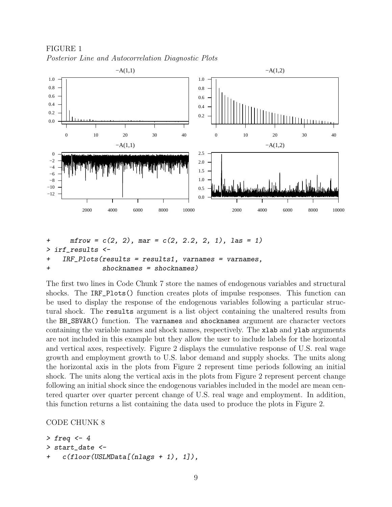<span id="page-8-0"></span>



```
+ mfrow = c(2, 2), mar = c(2, 2.2, 2, 1), las = 1)
> irf_results <-
+ IRF_Plots(results = results1, varnames = varnames,
+ shocknames = shocknames)
```
The first two lines in [Code Chunk 7](#page-7-0) store the names of endogenous variables and structural shocks. The IRF\_Plots() function creates plots of impulse responses. This function can be used to display the response of the endogenous variables following a particular structural shock. The results argument is a list object containing the unaltered results from the BH\_SBVAR() function. The varnames and shocknames argument are character vectors containing the variable names and shock names, respectively. The xlab and ylab arguments are not included in this example but they allow the user to include labels for the horizontal and vertical axes, respectively. Figure [2](#page-9-0) displays the cumulative response of U.S. real wage growth and employment growth to U.S. labor demand and supply shocks. The units along the horizontal axis in the plots from Figure [2](#page-9-0) represent time periods following an initial shock. The units along the vertical axis in the plots from Figure [2](#page-9-0) represent percent change following an initial shock since the endogenous variables included in the model are mean centered quarter over quarter percent change of U.S. real wage and employment. In addition, this function returns a list containing the data used to produce the plots in Figure [2.](#page-9-0)

```
> freq <-4> start_date <-
+ c(floor(USLMData[(nlags + 1), 1]),
```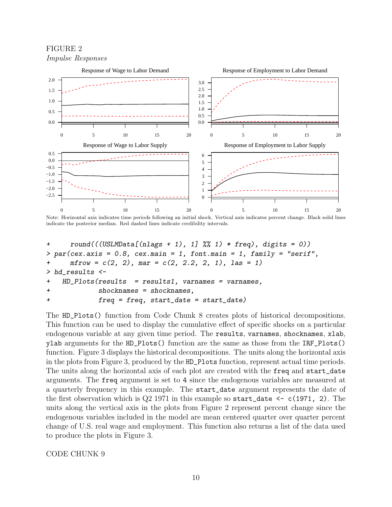<span id="page-9-0"></span>FIGURE 2 Impulse Responses



Note: Horizontal axis indicates time periods following an initial shock. Vertical axis indicates percent change. Black solid lines indicate the posterior median. Red dashed lines indicate credibility intervals.

```
+ round((USLMData[(nlags + 1), 1] \%) 1) * freq), digits = 0)> par(cex. axis = 0.8, cex. main = 1, font. main = 1, family = "serif",+ mfrow = c(2, 2), mar = c(2, 2.2, 2, 1), las = 1)
> hd_results <-
+ HD_Plots(results = results1, varnames = varnames,
+ shocknames = shocknames,
+ freq = freq, start_date = start_date)
```
<span id="page-9-1"></span>The HD\_Plots() function from [Code Chunk 8](#page-8-1) creates plots of historical decompositions. This function can be used to display the cumulative effect of specific shocks on a particular endogenous variable at any given time period. The results, varnames, shocknames, xlab, ylab arguments for the HD\_Plots() function are the same as those from the IRF\_Plots() function. Figure [3](#page-10-0) displays the historical decompositions. The units along the horizontal axis in the plots from Figure [3,](#page-10-0) produced by the HD\_Plots function, represent actual time periods. The units along the horizontal axis of each plot are created with the freq and start\_date arguments. The freq argument is set to 4 since the endogenous variables are measured at a quarterly frequency in this example. The start\_date argument represents the date of the first observation which is  $Q2$  1971 in this example so start\_date  $\leq$  c(1971, 2). The units along the vertical axis in the plots from Figure [2](#page-9-0) represent percent change since the endogenous variables included in the model are mean centered quarter over quarter percent change of U.S. real wage and employment. This function also returns a list of the data used to produce the plots in Figure [3.](#page-10-0)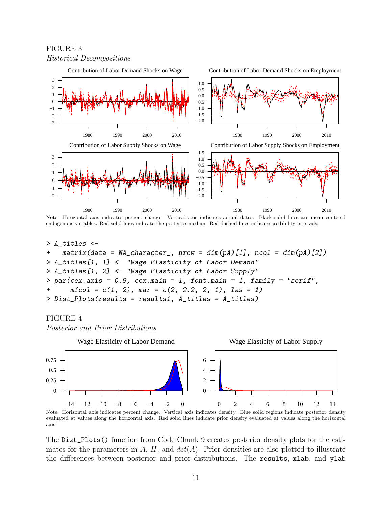

Note: Horizontal axis indicates percent change. Vertical axis indicates actual dates. Black solid lines are mean centered endogenous variables. Red solid lines indicate the posterior median. Red dashed lines indicate credibility intervals.

```
> A_titles <-
+ matrix(data = NA_{\text{c}}character, nrow = dim(pA)[1], ncol = dim(pA)[2])
> A_titles[1, 1] <- "Wage Elasticity of Labor Demand"
> A_titles[1, 2] <- "Wage Elasticity of Labor Supply"
> par(cex. axis = 0.8, cex. main = 1, font. main = 1, family = "serif",+ \text{mfcol} = c(1, 2), \text{mar} = c(2, 2.2, 2, 1), \text{las} = 1)> Dist_Plots(results = results1, A_titles = A_titles)
```
### FIGURE 4

<span id="page-10-0"></span>FIGURE 3

Posterior and Prior Distributions



Note: Horizontal axis indicates percent change. Vertical axis indicates density. Blue solid regions indicate posterior density evaluated at values along the horizontal axis. Red solid lines indicate prior density evaluated at values along the horizontal axis.

The Dist\_Plots() function from [Code Chunk 9](#page-9-1) creates posterior density plots for the estimates for the parameters in A, H, and  $det(A)$ . Prior densities are also plotted to illustrate the differences between posterior and prior distributions. The results, xlab, and ylab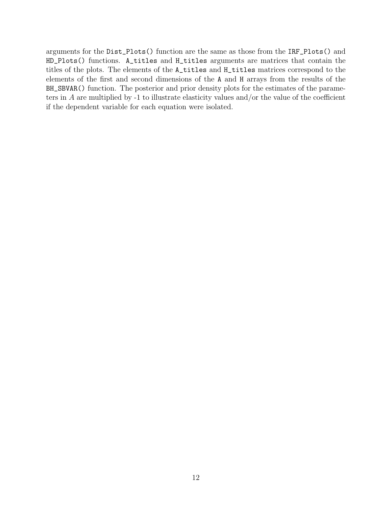arguments for the Dist\_Plots() function are the same as those from the IRF\_Plots() and HD\_Plots() functions. A\_titles and H\_titles arguments are matrices that contain the titles of the plots. The elements of the A\_titles and H\_titles matrices correspond to the elements of the first and second dimensions of the A and H arrays from the results of the BH\_SBVAR() function. The posterior and prior density plots for the estimates of the parameters in A are multiplied by -1 to illustrate elasticity values and/or the value of the coefficient if the dependent variable for each equation were isolated.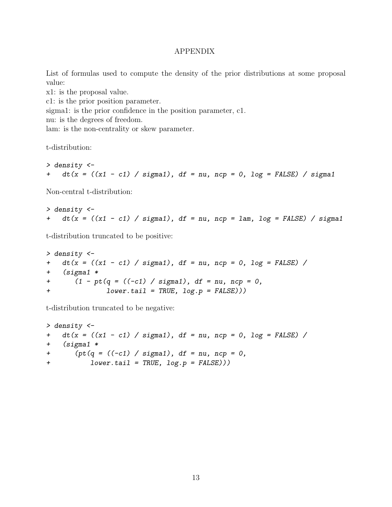# APPENDIX

<span id="page-12-0"></span>List of formulas used to compute the density of the prior distributions at some proposal value:

x1: is the proposal value.

c1: is the prior position parameter.

sigma1: is the prior confidence in the position parameter, c1.

nu: is the degrees of freedom.

lam: is the non-centrality or skew parameter.

t-distribution:

```
> density <-
+ dt(x = ((x1 - c1) / sigma1), df = nu, ncp = 0, log = FALSE) / sigma1
```
Non-central t-distribution:

> density <- +  $dt(x = ((x1 - c1) / sigma1), df = nu, ncp = lam, log = FALSE) / sigma1$ 

t-distribution truncated to be positive:

```
> density <-
+ dt(x = ((x1 - c1) / sigma1), df = nu, ncp = 0, log = FALSE) /+ (sigma1 *
+ (1 - pt(q = ((-c1) / sigma1), df = nu, ncp = 0,+ lower.tail = TRUE, log.p = FALSE)))
```
t-distribution truncated to be negative:

```
> density <-
+ dt(x = ((x1 - c1) / sigma1), df = nu, ncp = 0, log = FALSE) /+ (sigma1 *
+ (pt(q = ((-c1) / sigma1), df = nu, ncp = 0,+ lower.tail = TRUE, log.p = FALSE)))
```